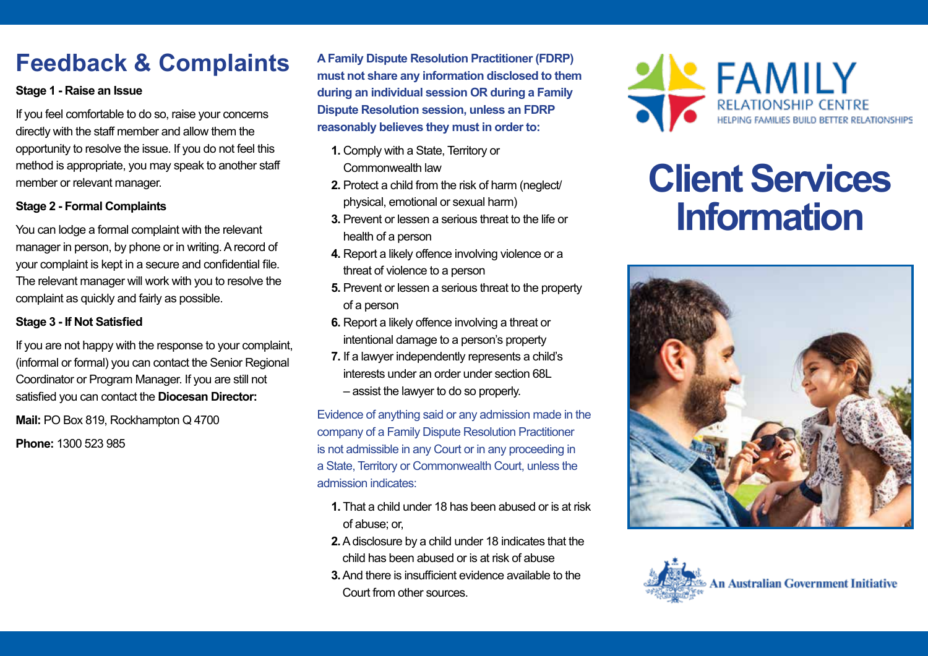# **Feedback & Complaints**

## **Stage 1 - Raise an Issue**

If you feel comfortable to do so, raise your concerns directly with the staff member and allow them the opportunity to resolve the issue. If you do not feel this method is appropriate, you may speak to another staff member or relevant manager.

### **Stage 2 - Formal Complaints**

You can lodge a formal complaint with the relevant manager in person, by phone or in writing. A record of your complaint is kept in a secure and confidential file. The relevant manager will work with you to resolve the complaint as quickly and fairly as possible.

#### **Stage 3 - If Not Satisfied**

If you are not happy with the response to your complaint, (informal or formal) you can contact the Senior Regional Coordinator or Program Manager. If you are still not satisfied you can contact the **Diocesan Director:**

**Mail:** PO Box 819, Rockhampton Q 4700 **Phone:** 1300 523 985

**A Family Dispute Resolution Practitioner (FDRP) must not share any information disclosed to them during an individual session OR during a Family Dispute Resolution session, unless an FDRP reasonably believes they must in order to:**

- **1.** Comply with a State, Territory or Commonwealth law
- **2.** Protect a child from the risk of harm (neglect/ physical, emotional or sexual harm)
- **3.** Prevent or lessen a serious threat to the life or health of a person
- **4.** Report a likely offence involving violence or a threat of violence to a person
- **5.** Prevent or lessen a serious threat to the property of a person
- **6.** Report a likely offence involving a threat or intentional damage to a person's property
- **7.** If a lawyer independently represents a child's interests under an order under section 68L – assist the lawyer to do so properly.

Evidence of anything said or any admission made in the company of a Family Dispute Resolution Practitioner is not admissible in any Court or in any proceeding in a State, Territory or Commonwealth Court, unless the admission indicates:

- **1.** That a child under 18 has been abused or is at risk of abuse; or,
- **2.**A disclosure by a child under 18 indicates that the child has been abused or is at risk of abuse
- **3.**And there is insufficient evidence available to the Court from other sources.



# **Client Services Information**